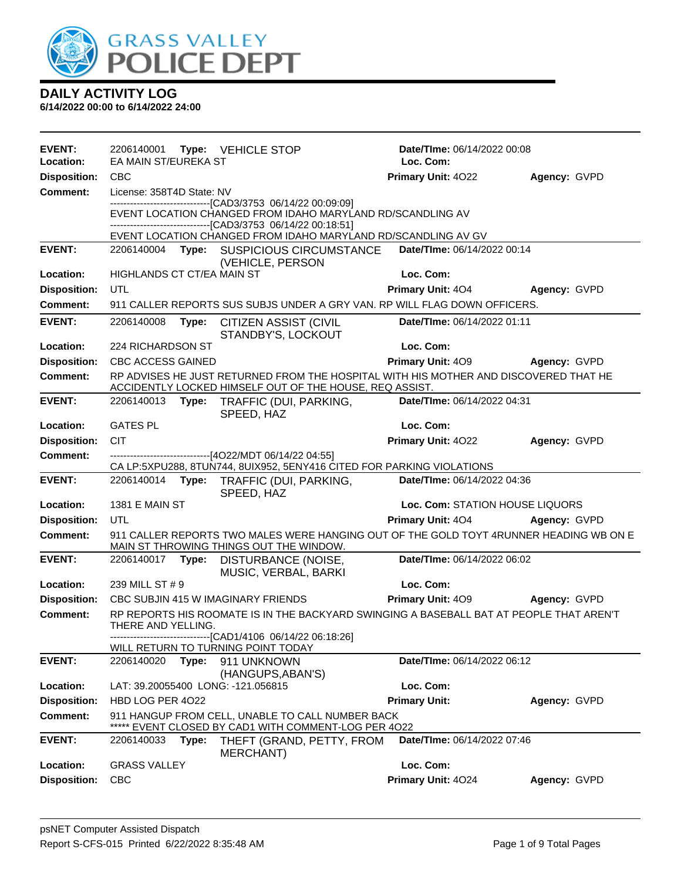

| <b>EVENT:</b><br>Location: | 2206140001<br>EA MAIN ST/EUREKA ST |       | Type: VEHICLE STOP                                                                                                                                                            | Date/TIme: 06/14/2022 00:08<br>Loc. Com: |              |
|----------------------------|------------------------------------|-------|-------------------------------------------------------------------------------------------------------------------------------------------------------------------------------|------------------------------------------|--------------|
| <b>Disposition:</b>        | <b>CBC</b>                         |       |                                                                                                                                                                               | Primary Unit: 4022                       | Agency: GVPD |
| <b>Comment:</b>            | License: 358T4D State: NV          |       |                                                                                                                                                                               |                                          |              |
|                            |                                    |       | --------------------------------[CAD3/3753 06/14/22 00:09:09]<br>EVENT LOCATION CHANGED FROM IDAHO MARYLAND RD/SCANDLING AV<br>-----------------[CAD3/3753_06/14/22_00:18:51] |                                          |              |
|                            |                                    |       | EVENT LOCATION CHANGED FROM IDAHO MARYLAND RD/SCANDLING AV GV                                                                                                                 |                                          |              |
| <b>EVENT:</b>              |                                    |       | 2206140004 Type: SUSPICIOUS CIRCUMSTANCE<br>(VEHICLE, PERSON                                                                                                                  | Date/TIme: 06/14/2022 00:14              |              |
| Location:                  | HIGHLANDS CT CT/EA MAIN ST         |       |                                                                                                                                                                               | Loc. Com:                                |              |
| <b>Disposition:</b>        | <b>UTL</b>                         |       |                                                                                                                                                                               | <b>Primary Unit: 404</b>                 | Agency: GVPD |
| <b>Comment:</b>            |                                    |       | 911 CALLER REPORTS SUS SUBJS UNDER A GRY VAN. RP WILL FLAG DOWN OFFICERS.                                                                                                     |                                          |              |
| <b>EVENT:</b>              | 2206140008                         | Type: | <b>CITIZEN ASSIST (CIVIL</b><br>STANDBY'S, LOCKOUT                                                                                                                            | Date/TIme: 06/14/2022 01:11              |              |
| Location:                  | 224 RICHARDSON ST                  |       |                                                                                                                                                                               | Loc. Com:                                |              |
| <b>Disposition:</b>        | <b>CBC ACCESS GAINED</b>           |       |                                                                                                                                                                               | <b>Primary Unit: 409</b>                 | Agency: GVPD |
| <b>Comment:</b>            |                                    |       | RP ADVISES HE JUST RETURNED FROM THE HOSPITAL WITH HIS MOTHER AND DISCOVERED THAT HE<br>ACCIDENTLY LOCKED HIMSELF OUT OF THE HOUSE, REQ ASSIST.                               |                                          |              |
| <b>EVENT:</b>              |                                    |       | 2206140013 Type: TRAFFIC (DUI, PARKING,<br>SPEED, HAZ                                                                                                                         | Date/TIme: 06/14/2022 04:31              |              |
| Location:                  | <b>GATES PL</b>                    |       |                                                                                                                                                                               | Loc. Com:                                |              |
| <b>Disposition:</b>        | <b>CIT</b>                         |       |                                                                                                                                                                               | Primary Unit: 4022                       | Agency: GVPD |
| Comment:                   |                                    |       | -------------------------------[4O22/MDT 06/14/22 04:55]<br>CA LP:5XPU288, 8TUN744, 8UIX952, 5ENY416 CITED FOR PARKING VIOLATIONS                                             |                                          |              |
| <b>EVENT:</b>              | 2206140014                         |       | Type: TRAFFIC (DUI, PARKING,<br>SPEED, HAZ                                                                                                                                    | Date/TIme: 06/14/2022 04:36              |              |
| Location:                  | <b>1381 E MAIN ST</b>              |       |                                                                                                                                                                               | Loc. Com: STATION HOUSE LIQUORS          |              |
| <b>Disposition:</b>        | UTL                                |       |                                                                                                                                                                               | <b>Primary Unit: 404</b>                 | Agency: GVPD |
| <b>Comment:</b>            |                                    |       | 911 CALLER REPORTS TWO MALES WERE HANGING OUT OF THE GOLD TOYT 4RUNNER HEADING WB ON E<br>MAIN ST THROWING THINGS OUT THE WINDOW.                                             |                                          |              |
| <b>EVENT:</b>              | 2206140017                         | Type: | DISTURBANCE (NOISE,<br>MUSIC, VERBAL, BARKI                                                                                                                                   | Date/TIme: 06/14/2022 06:02              |              |
| Location:                  | 239 MILL ST # 9                    |       |                                                                                                                                                                               | Loc. Com:                                |              |
| <b>Disposition:</b>        |                                    |       | CBC SUBJIN 415 W IMAGINARY FRIENDS                                                                                                                                            | <b>Primary Unit: 409</b>                 | Agency: GVPD |
| <b>Comment:</b>            | THERE AND YELLING.                 |       | RP REPORTS HIS ROOMATE IS IN THE BACKYARD SWINGING A BASEBALL BAT AT PEOPLE THAT AREN'T<br>-------------------[CAD1/4106 06/14/22 06:18:26]                                   |                                          |              |
|                            |                                    |       | WILL RETURN TO TURNING POINT TODAY                                                                                                                                            |                                          |              |
| <b>EVENT:</b>              | 2206140020                         | Type: | 911 UNKNOWN<br>(HANGUPS, ABAN'S)                                                                                                                                              | Date/TIme: 06/14/2022 06:12              |              |
| Location:                  |                                    |       | LAT: 39.20055400 LONG: -121.056815                                                                                                                                            | Loc. Com:                                |              |
| <b>Disposition:</b>        | HBD LOG PER 4022                   |       |                                                                                                                                                                               | <b>Primary Unit:</b>                     | Agency: GVPD |
| <b>Comment:</b>            |                                    |       | 911 HANGUP FROM CELL, UNABLE TO CALL NUMBER BACK<br>***** EVENT CLOSED BY CAD1 WITH COMMENT-LOG PER 4022                                                                      |                                          |              |
| <b>EVENT:</b>              | 2206140033                         | Type: | THEFT (GRAND, PETTY, FROM<br>MERCHANT)                                                                                                                                        | Date/TIme: 06/14/2022 07:46              |              |
| <b>Location:</b>           | <b>GRASS VALLEY</b>                |       |                                                                                                                                                                               | Loc. Com:                                |              |
| <b>Disposition:</b>        | <b>CBC</b>                         |       |                                                                                                                                                                               | Primary Unit: 4024                       | Agency: GVPD |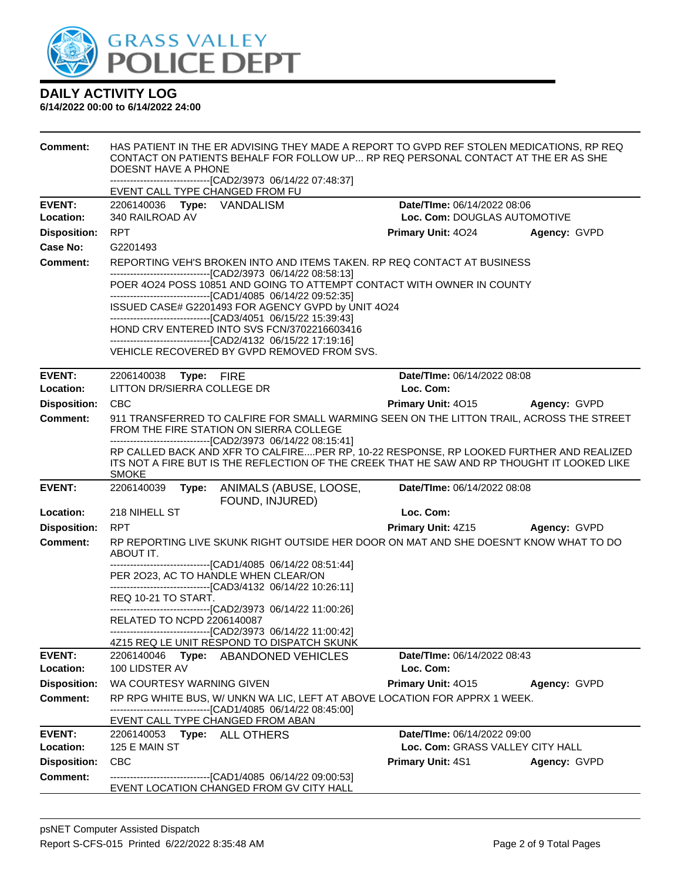

| <b>Comment:</b>     | HAS PATIENT IN THE ER ADVISING THEY MADE A REPORT TO GVPD REF STOLEN MEDICATIONS, RP REQ<br>CONTACT ON PATIENTS BEHALF FOR FOLLOW UP RP REQ PERSONAL CONTACT AT THE ER AS SHE<br>DOESNT HAVE A PHONE<br>------------------------------[CAD2/3973 06/14/22 07:48:37]    |                                        |              |  |
|---------------------|------------------------------------------------------------------------------------------------------------------------------------------------------------------------------------------------------------------------------------------------------------------------|----------------------------------------|--------------|--|
|                     | EVENT CALL TYPE CHANGED FROM FU                                                                                                                                                                                                                                        |                                        |              |  |
| <b>EVENT:</b>       | 2206140036 Type: VANDALISM                                                                                                                                                                                                                                             | Date/TIme: 06/14/2022 08:06            |              |  |
| Location:           | 340 RAILROAD AV                                                                                                                                                                                                                                                        | Loc. Com: DOUGLAS AUTOMOTIVE           |              |  |
| <b>Disposition:</b> | <b>RPT</b>                                                                                                                                                                                                                                                             | <b>Primary Unit: 4024</b>              | Agency: GVPD |  |
| <b>Case No:</b>     | G2201493                                                                                                                                                                                                                                                               |                                        |              |  |
| <b>Comment:</b>     | REPORTING VEH'S BROKEN INTO AND ITEMS TAKEN. RP REQ CONTACT AT BUSINESS<br>---------------------------------[CAD2/3973 06/14/22 08:58:13]                                                                                                                              |                                        |              |  |
|                     | POER 4024 POSS 10851 AND GOING TO ATTEMPT CONTACT WITH OWNER IN COUNTY<br>-------------------------------[CAD1/4085 06/14/22 09:52:35]                                                                                                                                 |                                        |              |  |
|                     | ISSUED CASE# G2201493 FOR AGENCY GVPD by UNIT 4O24                                                                                                                                                                                                                     |                                        |              |  |
|                     | --------------------------------[CAD3/4051 06/15/22 15:39:43]<br>HOND CRV ENTERED INTO SVS FCN/3702216603416                                                                                                                                                           |                                        |              |  |
|                     | ------------------------------[CAD2/4132 06/15/22 17:19:16]                                                                                                                                                                                                            |                                        |              |  |
|                     | VEHICLE RECOVERED BY GVPD REMOVED FROM SVS.                                                                                                                                                                                                                            |                                        |              |  |
| <b>EVENT:</b>       | 2206140038 Type: FIRE                                                                                                                                                                                                                                                  | Date/TIme: 06/14/2022 08:08            |              |  |
| Location:           | LITTON DR/SIERRA COLLEGE DR                                                                                                                                                                                                                                            | Loc. Com:                              |              |  |
| <b>Disposition:</b> | <b>CBC</b>                                                                                                                                                                                                                                                             | <b>Primary Unit: 4015 Agency: GVPD</b> |              |  |
| <b>Comment:</b>     | 911 TRANSFERRED TO CALFIRE FOR SMALL WARMING SEEN ON THE LITTON TRAIL, ACROSS THE STREET<br>FROM THE FIRE STATION ON SIERRA COLLEGE                                                                                                                                    |                                        |              |  |
|                     | -------------------------------[CAD2/3973 06/14/22 08:15:41]<br>RP CALLED BACK AND XFR TO CALFIREPER RP, 10-22 RESPONSE, RP LOOKED FURTHER AND REALIZED<br>ITS NOT A FIRE BUT IS THE REFLECTION OF THE CREEK THAT HE SAW AND RP THOUGHT IT LOOKED LIKE<br><b>SMOKE</b> |                                        |              |  |
| <b>EVENT:</b>       | 2206140039<br>ANIMALS (ABUSE, LOOSE,<br>Type:<br>FOUND, INJURED)                                                                                                                                                                                                       | Date/TIme: 06/14/2022 08:08            |              |  |
| Location:           | 218 NIHELL ST                                                                                                                                                                                                                                                          | Loc. Com:                              |              |  |
| <b>Disposition:</b> | <b>RPT</b>                                                                                                                                                                                                                                                             | <b>Primary Unit: 4Z15</b>              | Agency: GVPD |  |
| <b>Comment:</b>     | RP REPORTING LIVE SKUNK RIGHT OUTSIDE HER DOOR ON MAT AND SHE DOESN'T KNOW WHAT TO DO<br>ABOUT IT.                                                                                                                                                                     |                                        |              |  |
|                     | -------------------------------[CAD1/4085 06/14/22 08:51:44]<br>PER 2023, AC TO HANDLE WHEN CLEAR/ON                                                                                                                                                                   |                                        |              |  |
|                     | -------------------------------[CAD3/4132 06/14/22 10:26:11]                                                                                                                                                                                                           |                                        |              |  |
|                     | REQ 10-21 TO START.                                                                                                                                                                                                                                                    |                                        |              |  |
|                     | --------------------------------[CAD2/3973 06/14/22 11:00:26]<br>RELATED TO NCPD 2206140087                                                                                                                                                                            |                                        |              |  |
|                     | -------------------------------[CAD2/3973 06/14/22 11:00:42]<br>4Z15 REQ LE UNIT RESPOND TO DISPATCH SKUNK                                                                                                                                                             |                                        |              |  |
| <b>EVENT:</b>       | 2206140046<br>ABANDONED VEHICLES<br>Type:                                                                                                                                                                                                                              | Date/TIme: 06/14/2022 08:43            |              |  |
| Location:           | 100 LIDSTER AV                                                                                                                                                                                                                                                         | Loc. Com:                              |              |  |
| <b>Disposition:</b> | WA COURTESY WARNING GIVEN                                                                                                                                                                                                                                              | Primary Unit: 4015                     | Agency: GVPD |  |
| <b>Comment:</b>     | RP RPG WHITE BUS, W/ UNKN WA LIC, LEFT AT ABOVE LOCATION FOR APPRX 1 WEEK.<br>------------------------[CAD1/4085_06/14/22_08:45:00]                                                                                                                                    |                                        |              |  |
|                     | EVENT CALL TYPE CHANGED FROM ABAN                                                                                                                                                                                                                                      |                                        |              |  |
| <b>EVENT:</b>       | 2206140053 Type: ALL OTHERS                                                                                                                                                                                                                                            | Date/TIme: 06/14/2022 09:00            |              |  |
| Location:           | 125 E MAIN ST                                                                                                                                                                                                                                                          | Loc. Com: GRASS VALLEY CITY HALL       |              |  |
| <b>Disposition:</b> | <b>CBC</b>                                                                                                                                                                                                                                                             | <b>Primary Unit: 4S1</b>               | Agency: GVPD |  |
| <b>Comment:</b>     | -------------------------------[CAD1/4085 06/14/22 09:00:53]<br>EVENT LOCATION CHANGED FROM GV CITY HALL                                                                                                                                                               |                                        |              |  |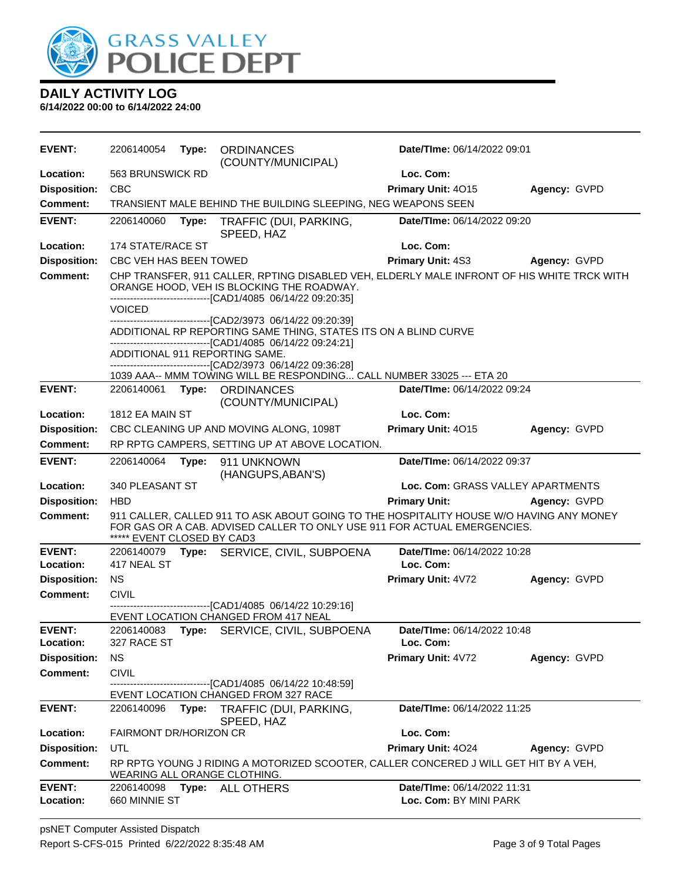

| <b>EVENT:</b>              | 2206140054                 | Type: | <b>ORDINANCES</b><br>(COUNTY/MUNICIPAL)                                                                                                                                                                 | <b>Date/Time: 06/14/2022 09:01</b>       |              |
|----------------------------|----------------------------|-------|---------------------------------------------------------------------------------------------------------------------------------------------------------------------------------------------------------|------------------------------------------|--------------|
| Location:                  | 563 BRUNSWICK RD           |       |                                                                                                                                                                                                         | Loc. Com:                                |              |
| <b>Disposition:</b>        | <b>CBC</b>                 |       |                                                                                                                                                                                                         | Primary Unit: 4015                       | Agency: GVPD |
| Comment:                   |                            |       | TRANSIENT MALE BEHIND THE BUILDING SLEEPING, NEG WEAPONS SEEN                                                                                                                                           |                                          |              |
| <b>EVENT:</b>              | 2206140060                 | Type: | TRAFFIC (DUI, PARKING,<br>SPEED, HAZ                                                                                                                                                                    | Date/TIme: 06/14/2022 09:20              |              |
| Location:                  | 174 STATE/RACE ST          |       |                                                                                                                                                                                                         | Loc. Com:                                |              |
| <b>Disposition:</b>        | CBC VEH HAS BEEN TOWED     |       |                                                                                                                                                                                                         | <b>Primary Unit: 4S3</b>                 | Agency: GVPD |
| <b>Comment:</b>            |                            |       | CHP TRANSFER, 911 CALLER, RPTING DISABLED VEH, ELDERLY MALE INFRONT OF HIS WHITE TRCK WITH<br>ORANGE HOOD, VEH IS BLOCKING THE ROADWAY.<br>-------------------------------[CAD1/4085 06/14/22 09:20:35] |                                          |              |
|                            | <b>VOICED</b>              |       |                                                                                                                                                                                                         |                                          |              |
|                            |                            |       | -------------------------------[CAD2/3973 06/14/22 09:20:39]<br>ADDITIONAL RP REPORTING SAME THING, STATES ITS ON A BLIND CURVE<br>-------------------------------[CAD1/4085 06/14/22 09:24:21]         |                                          |              |
|                            |                            |       | ADDITIONAL 911 REPORTING SAME.                                                                                                                                                                          |                                          |              |
|                            |                            |       | -------------------------------[CAD2/3973 06/14/22 09:36:28]<br>1039 AAA-- MMM TOWING WILL BE RESPONDING CALL NUMBER 33025 --- ETA 20                                                                   |                                          |              |
| <b>EVENT:</b>              | 2206140061                 |       | Type: ORDINANCES<br>(COUNTY/MUNICIPAL)                                                                                                                                                                  | Date/TIme: 06/14/2022 09:24              |              |
| Location:                  | 1812 EA MAIN ST            |       |                                                                                                                                                                                                         | Loc. Com:                                |              |
| <b>Disposition:</b>        |                            |       | CBC CLEANING UP AND MOVING ALONG, 1098T                                                                                                                                                                 | Primary Unit: 4015                       | Agency: GVPD |
| Comment:                   |                            |       | RP RPTG CAMPERS, SETTING UP AT ABOVE LOCATION.                                                                                                                                                          |                                          |              |
| <b>EVENT:</b>              | 2206140064                 | Type: | 911 UNKNOWN<br>(HANGUPS, ABAN'S)                                                                                                                                                                        | Date/TIme: 06/14/2022 09:37              |              |
| Location:                  | 340 PLEASANT ST            |       |                                                                                                                                                                                                         | Loc. Com: GRASS VALLEY APARTMENTS        |              |
| <b>Disposition:</b>        | <b>HBD</b>                 |       |                                                                                                                                                                                                         | <b>Primary Unit:</b>                     | Agency: GVPD |
| <b>Comment:</b>            | ***** EVENT CLOSED BY CAD3 |       | 911 CALLER, CALLED 911 TO ASK ABOUT GOING TO THE HOSPITALITY HOUSE W/O HAVING ANY MONEY<br>FOR GAS OR A CAB. ADVISED CALLER TO ONLY USE 911 FOR ACTUAL EMERGENCIES.                                     |                                          |              |
| <b>EVENT:</b><br>Location: | 417 NEAL ST                |       | 2206140079 Type: SERVICE, CIVIL, SUBPOENA                                                                                                                                                               | Date/TIme: 06/14/2022 10:28<br>Loc. Com: |              |
| <b>Disposition:</b>        | <b>NS</b>                  |       |                                                                                                                                                                                                         | Primary Unit: 4V72                       | Agency: GVPD |
| <b>Comment:</b>            | <b>CIVIL</b>               |       |                                                                                                                                                                                                         |                                          |              |
|                            |                            |       | -----------------[CAD1/4085 06/14/22 10:29:16]<br>EVENT LOCATION CHANGED FROM 417 NEAL                                                                                                                  |                                          |              |
| <b>EVENT:</b><br>Location: | 2206140083<br>327 RACE ST  | Type: | SERVICE, CIVIL, SUBPOENA                                                                                                                                                                                | Date/TIme: 06/14/2022 10:48<br>Loc. Com: |              |
| <b>Disposition:</b>        | <b>NS</b>                  |       |                                                                                                                                                                                                         | Primary Unit: 4V72                       | Agency: GVPD |
| <b>Comment:</b>            | <b>CIVIL</b>               |       |                                                                                                                                                                                                         |                                          |              |
|                            |                            |       | -------------------[CAD1/4085_06/14/22 10:48:59]                                                                                                                                                        |                                          |              |
| <b>EVENT:</b>              | 2206140096                 |       | EVENT LOCATION CHANGED FROM 327 RACE<br>Type: TRAFFIC (DUI, PARKING,                                                                                                                                    | Date/TIme: 06/14/2022 11:25              |              |
|                            |                            |       | SPEED, HAZ                                                                                                                                                                                              |                                          |              |
| Location:                  | FAIRMONT DR/HORIZON CR     |       |                                                                                                                                                                                                         | Loc. Com:                                |              |
| <b>Disposition:</b>        | UTL                        |       |                                                                                                                                                                                                         | Primary Unit: 4024                       | Agency: GVPD |
| <b>Comment:</b>            |                            |       | RP RPTG YOUNG J RIDING A MOTORIZED SCOOTER, CALLER CONCERED J WILL GET HIT BY A VEH,<br>WEARING ALL ORANGE CLOTHING.                                                                                    |                                          |              |
| <b>EVENT:</b>              | 2206140098                 |       | Type: ALL OTHERS                                                                                                                                                                                        | Date/TIme: 06/14/2022 11:31              |              |
| Location:                  | 660 MINNIE ST              |       |                                                                                                                                                                                                         | Loc. Com: BY MINI PARK                   |              |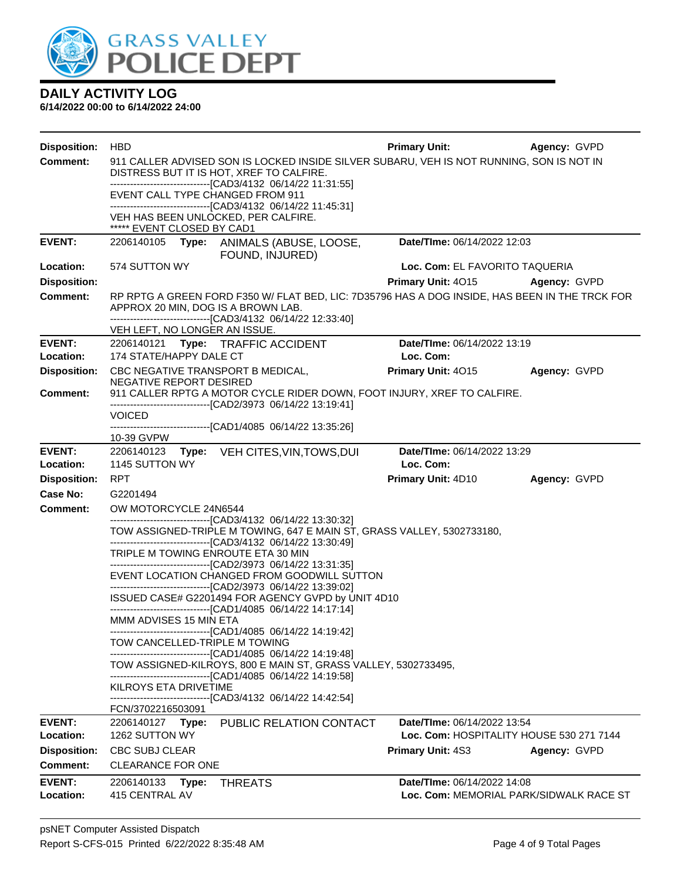

| <b>Disposition:</b>        | <b>HBD</b>                                                                                                                                                                                             | <b>Primary Unit:</b>                                                   | Agency: GVPD |  |
|----------------------------|--------------------------------------------------------------------------------------------------------------------------------------------------------------------------------------------------------|------------------------------------------------------------------------|--------------|--|
| <b>Comment:</b>            | 911 CALLER ADVISED SON IS LOCKED INSIDE SILVER SUBARU, VEH IS NOT RUNNING, SON IS NOT IN                                                                                                               |                                                                        |              |  |
|                            | DISTRESS BUT IT IS HOT, XREF TO CALFIRE.<br>-------------------------------[CAD3/4132 06/14/22 11:31:55]                                                                                               |                                                                        |              |  |
|                            | EVENT CALL TYPE CHANGED FROM 911                                                                                                                                                                       |                                                                        |              |  |
|                            | -------------------------------[CAD3/4132 06/14/22 11:45:31]<br>VEH HAS BEEN UNLOCKED, PER CALFIRE.                                                                                                    |                                                                        |              |  |
|                            | ***** EVENT CLOSED BY CAD1                                                                                                                                                                             |                                                                        |              |  |
| <b>EVENT:</b>              | 2206140105<br>Type: ANIMALS (ABUSE, LOOSE,<br>FOUND, INJURED)                                                                                                                                          | Date/TIme: 06/14/2022 12:03                                            |              |  |
| <b>Location:</b>           | 574 SUTTON WY                                                                                                                                                                                          | Loc. Com: EL FAVORITO TAQUERIA                                         |              |  |
| <b>Disposition:</b>        |                                                                                                                                                                                                        | Primary Unit: 4015                                                     | Agency: GVPD |  |
| Comment:                   | RP RPTG A GREEN FORD F350 W/ FLAT BED, LIC: 7D35796 HAS A DOG INSIDE, HAS BEEN IN THE TRCK FOR<br>APPROX 20 MIN, DOG IS A BROWN LAB.<br>---------------------------------[CAD3/4132 06/14/22 12:33:40] |                                                                        |              |  |
|                            | VEH LEFT, NO LONGER AN ISSUE.                                                                                                                                                                          |                                                                        |              |  |
| <b>EVENT:</b>              | 2206140121 Type: TRAFFIC ACCIDENT                                                                                                                                                                      | Date/TIme: 06/14/2022 13:19                                            |              |  |
| Location:                  | 174 STATE/HAPPY DALE CT                                                                                                                                                                                | Loc. Com:                                                              |              |  |
| <b>Disposition:</b>        | CBC NEGATIVE TRANSPORT B MEDICAL,<br>NEGATIVE REPORT DESIRED                                                                                                                                           | Primary Unit: 4015                                                     | Agency: GVPD |  |
| <b>Comment:</b>            | 911 CALLER RPTG A MOTOR CYCLE RIDER DOWN, FOOT INJURY, XREF TO CALFIRE.                                                                                                                                |                                                                        |              |  |
|                            | -------------------------------[CAD2/3973 06/14/22 13:19:41]<br><b>VOICED</b>                                                                                                                          |                                                                        |              |  |
|                            | -------------------------------[CAD1/4085 06/14/22 13:35:26]                                                                                                                                           |                                                                        |              |  |
| <b>EVENT:</b>              | 10-39 GVPW<br>2206140123 Type: VEH CITES, VIN, TOWS, DUI                                                                                                                                               | Date/TIme: 06/14/2022 13:29                                            |              |  |
| Location:                  | 1145 SUTTON WY                                                                                                                                                                                         | Loc. Com:                                                              |              |  |
| <b>Disposition:</b>        | <b>RPT</b>                                                                                                                                                                                             | Primary Unit: 4D10                                                     | Agency: GVPD |  |
| Case No:                   | G2201494                                                                                                                                                                                               |                                                                        |              |  |
| <b>Comment:</b>            | OW MOTORCYCLE 24N6544                                                                                                                                                                                  |                                                                        |              |  |
|                            | -------------------------------[CAD3/4132 06/14/22 13:30:32]<br>TOW ASSIGNED-TRIPLE M TOWING, 647 E MAIN ST, GRASS VALLEY, 5302733180,                                                                 |                                                                        |              |  |
|                            | -------------------------------[CAD3/4132 06/14/22 13:30:49]                                                                                                                                           |                                                                        |              |  |
|                            | TRIPLE M TOWING ENROUTE ETA 30 MIN                                                                                                                                                                     |                                                                        |              |  |
|                            | --------------------------------[CAD2/3973 06/14/22 13:31:35]<br>EVENT LOCATION CHANGED FROM GOODWILL SUTTON                                                                                           |                                                                        |              |  |
|                            | --------------------------------[CAD2/3973 06/14/22 13:39:02]                                                                                                                                          |                                                                        |              |  |
|                            | ISSUED CASE# G2201494 FOR AGENCY GVPD by UNIT 4D10<br>---------------------------------[CAD1/4085 06/14/22 14:17:14]                                                                                   |                                                                        |              |  |
|                            | MMM ADVISES 15 MIN ETA                                                                                                                                                                                 |                                                                        |              |  |
|                            | ---------------------------[CAD1/4085  06/14/22 14:19:42]<br>TOW CANCELLED-TRIPLE M TOWING<br>------------------------------[CAD1/4085_06/14/22 14:19:48]                                              |                                                                        |              |  |
|                            | TOW ASSIGNED-KILROYS, 800 E MAIN ST, GRASS VALLEY, 5302733495,<br>------------------------------[CAD1/4085 06/14/22 14:19:58]                                                                          |                                                                        |              |  |
|                            | KILROYS ETA DRIVETIME                                                                                                                                                                                  |                                                                        |              |  |
|                            | -------------------------------[CAD3/4132 06/14/22 14:42:54]<br>FCN/3702216503091                                                                                                                      |                                                                        |              |  |
| <b>EVENT:</b>              | 2206140127 Type: PUBLIC RELATION CONTACT                                                                                                                                                               | Date/TIme: 06/14/2022 13:54                                            |              |  |
| Location:                  | 1262 SUTTON WY                                                                                                                                                                                         | Loc. Com: HOSPITALITY HOUSE 530 271 7144                               |              |  |
| <b>Disposition:</b>        | <b>CBC SUBJ CLEAR</b>                                                                                                                                                                                  | <b>Primary Unit: 4S3</b>                                               | Agency: GVPD |  |
| <b>Comment:</b>            | <b>CLEARANCE FOR ONE</b>                                                                                                                                                                               |                                                                        |              |  |
| <b>EVENT:</b><br>Location: | 2206140133<br>Type:<br><b>THREATS</b><br>415 CENTRAL AV                                                                                                                                                | Date/TIme: 06/14/2022 14:08<br>Loc. Com: MEMORIAL PARK/SIDWALK RACE ST |              |  |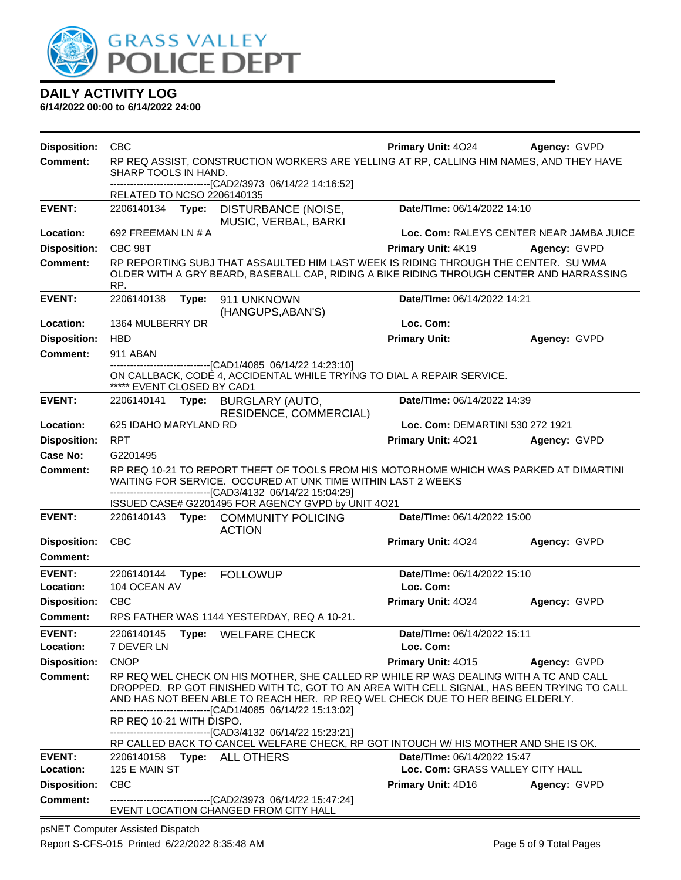

**6/14/2022 00:00 to 6/14/2022 24:00**

| <b>Disposition:</b>              | <b>CBC</b>                                                                                                      |       |                                                                                                                                                                                                                                              | <b>Primary Unit: 4024</b>                              | Agency: GVPD                             |
|----------------------------------|-----------------------------------------------------------------------------------------------------------------|-------|----------------------------------------------------------------------------------------------------------------------------------------------------------------------------------------------------------------------------------------------|--------------------------------------------------------|------------------------------------------|
| <b>Comment:</b>                  | RP REQ ASSIST, CONSTRUCTION WORKERS ARE YELLING AT RP, CALLING HIM NAMES, AND THEY HAVE<br>SHARP TOOLS IN HAND. |       |                                                                                                                                                                                                                                              |                                                        |                                          |
|                                  | RELATED TO NCSO 2206140135                                                                                      |       | --------------------[CAD2/3973_06/14/22 14:16:52]                                                                                                                                                                                            |                                                        |                                          |
| <b>EVENT:</b>                    | 2206140134 Type:                                                                                                |       | DISTURBANCE (NOISE,<br>MUSIC, VERBAL, BARKI                                                                                                                                                                                                  | Date/TIme: 06/14/2022 14:10                            |                                          |
| Location:                        | 692 FREEMAN LN # A                                                                                              |       |                                                                                                                                                                                                                                              |                                                        | Loc. Com: RALEYS CENTER NEAR JAMBA JUICE |
| <b>Disposition:</b>              | CBC 98T                                                                                                         |       |                                                                                                                                                                                                                                              | <b>Primary Unit: 4K19</b>                              | Agency: GVPD                             |
| <b>Comment:</b>                  | RP.                                                                                                             |       | RP REPORTING SUBJ THAT ASSAULTED HIM LAST WEEK IS RIDING THROUGH THE CENTER. SU WMA<br>OLDER WITH A GRY BEARD, BASEBALL CAP, RIDING A BIKE RIDING THROUGH CENTER AND HARRASSING                                                              |                                                        |                                          |
| <b>EVENT:</b>                    | 2206140138                                                                                                      | Type: | 911 UNKNOWN<br>(HANGUPS, ABAN'S)                                                                                                                                                                                                             | Date/TIme: 06/14/2022 14:21                            |                                          |
| Location:                        | 1364 MULBERRY DR                                                                                                |       |                                                                                                                                                                                                                                              | Loc. Com:                                              |                                          |
| <b>Disposition:</b>              | <b>HBD</b>                                                                                                      |       |                                                                                                                                                                                                                                              | <b>Primary Unit:</b>                                   | Agency: GVPD                             |
| <b>Comment:</b>                  | 911 ABAN                                                                                                        |       |                                                                                                                                                                                                                                              |                                                        |                                          |
|                                  | ***** EVENT CLOSED BY CAD1                                                                                      |       | -------------------------------[CAD1/4085 06/14/22 14:23:10]<br>ON CALLBACK, CODE 4, ACCIDENTAL WHILE TRYING TO DIAL A REPAIR SERVICE.                                                                                                       |                                                        |                                          |
| <b>EVENT:</b>                    | 2206140141                                                                                                      | Type: | <b>BURGLARY (AUTO,</b>                                                                                                                                                                                                                       | Date/TIme: 06/14/2022 14:39                            |                                          |
|                                  |                                                                                                                 |       | RESIDENCE, COMMERCIAL)                                                                                                                                                                                                                       |                                                        |                                          |
| Location:                        | 625 IDAHO MARYLAND RD<br><b>RPT</b>                                                                             |       |                                                                                                                                                                                                                                              | Loc. Com: DEMARTINI 530 272 1921<br>Primary Unit: 4021 |                                          |
| <b>Disposition:</b><br>Case No:  | G2201495                                                                                                        |       |                                                                                                                                                                                                                                              |                                                        | Agency: GVPD                             |
| <b>Comment:</b>                  |                                                                                                                 |       | RP REQ 10-21 TO REPORT THEFT OF TOOLS FROM HIS MOTORHOME WHICH WAS PARKED AT DIMARTINI                                                                                                                                                       |                                                        |                                          |
|                                  |                                                                                                                 |       | WAITING FOR SERVICE. OCCURED AT UNK TIME WITHIN LAST 2 WEEKS                                                                                                                                                                                 |                                                        |                                          |
|                                  |                                                                                                                 |       | ------------------------[CAD3/4132_06/14/22 15:04:29]<br>ISSUED CASE# G2201495 FOR AGENCY GVPD by UNIT 4O21                                                                                                                                  |                                                        |                                          |
| <b>EVENT:</b>                    |                                                                                                                 |       | 2206140143 Type: COMMUNITY POLICING                                                                                                                                                                                                          | Date/TIme: 06/14/2022 15:00                            |                                          |
|                                  |                                                                                                                 |       | <b>ACTION</b>                                                                                                                                                                                                                                |                                                        |                                          |
| <b>Disposition:</b>              | <b>CBC</b>                                                                                                      |       |                                                                                                                                                                                                                                              | Primary Unit: 4024                                     | Agency: GVPD                             |
| <b>Comment:</b>                  |                                                                                                                 |       |                                                                                                                                                                                                                                              |                                                        |                                          |
| <b>EVENT:</b>                    | 2206140144                                                                                                      | Type: | <b>FOLLOWUP</b>                                                                                                                                                                                                                              | Date/TIme: 06/14/2022 15:10                            |                                          |
| Location:                        | 104 OCEAN AV                                                                                                    |       |                                                                                                                                                                                                                                              | Loc. Com:                                              |                                          |
| <b>Disposition:</b>              | <b>CBC</b>                                                                                                      |       |                                                                                                                                                                                                                                              | <b>Primary Unit: 4024</b>                              | Agency: GVPD                             |
| <b>Comment:</b>                  |                                                                                                                 |       | RPS FATHER WAS 1144 YESTERDAY, REQ A 10-21.                                                                                                                                                                                                  |                                                        |                                          |
| <b>EVENT:</b>                    | 2206140145                                                                                                      |       | Type: WELFARE CHECK                                                                                                                                                                                                                          | Date/TIme: 06/14/2022 15:11                            |                                          |
| Location:<br><b>Disposition:</b> | 7 DEVER LN<br><b>CNOP</b>                                                                                       |       |                                                                                                                                                                                                                                              | Loc. Com:<br>Primary Unit: 4015                        | Agency: GVPD                             |
| <b>Comment:</b>                  |                                                                                                                 |       | RP REQ WEL CHECK ON HIS MOTHER, SHE CALLED RP WHILE RP WAS DEALING WITH A TC AND CALL                                                                                                                                                        |                                                        |                                          |
|                                  |                                                                                                                 |       | DROPPED. RP GOT FINISHED WITH TC, GOT TO AN AREA WITH CELL SIGNAL, HAS BEEN TRYING TO CALL<br>AND HAS NOT BEEN ABLE TO REACH HER. RP REQ WEL CHECK DUE TO HER BEING ELDERLY.<br>-------------------------------[CAD1/4085 06/14/22 15:13:02] |                                                        |                                          |
|                                  | RP REQ 10-21 WITH DISPO.                                                                                        |       | -------------------------------[CAD3/4132_06/14/22_15:23:21]<br>RP CALLED BACK TO CANCEL WELFARE CHECK, RP GOT INTOUCH W/ HIS MOTHER AND SHE IS OK.                                                                                          |                                                        |                                          |
| <b>EVENT:</b>                    |                                                                                                                 |       | 2206140158 Type: ALL OTHERS                                                                                                                                                                                                                  | Date/TIme: 06/14/2022 15:47                            |                                          |
| Location:                        | 125 E MAIN ST                                                                                                   |       |                                                                                                                                                                                                                                              | Loc. Com: GRASS VALLEY CITY HALL                       |                                          |
| <b>Disposition:</b>              | <b>CBC</b>                                                                                                      |       |                                                                                                                                                                                                                                              | Primary Unit: 4D16                                     | Agency: GVPD                             |
| <b>Comment:</b>                  |                                                                                                                 |       | ------------------------------[CAD2/3973_06/14/22_15:47:24]<br>EVENT LOCATION CHANGED FROM CITY HALL                                                                                                                                         |                                                        |                                          |

psNET Computer Assisted Dispatch Report S-CFS-015 Printed 6/22/2022 8:35:48 AM Page 5 of 9 Total Pages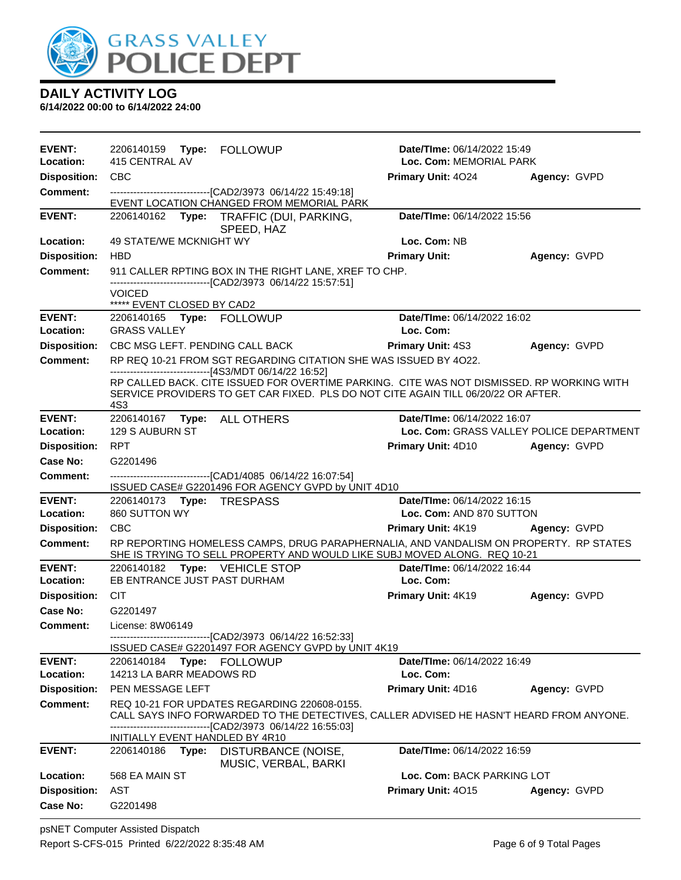

| <b>EVENT:</b>                          | 2206140159<br>Type:<br><b>FOLLOWUP</b>                                                                                                                                                | <b>Date/TIme: 06/14/2022 15:49</b>       |                     |
|----------------------------------------|---------------------------------------------------------------------------------------------------------------------------------------------------------------------------------------|------------------------------------------|---------------------|
| Location:                              | 415 CENTRAL AV                                                                                                                                                                        | Loc. Com: MEMORIAL PARK                  |                     |
| <b>Disposition:</b>                    | <b>CBC</b>                                                                                                                                                                            | Primary Unit: 4024                       | Agency: GVPD        |
| <b>Comment:</b>                        | ---------------------------------[CAD2/3973 06/14/22 15:49:18]<br>EVENT LOCATION CHANGED FROM MEMORIAL PARK                                                                           |                                          |                     |
| <b>EVENT:</b>                          | Type: TRAFFIC (DUI, PARKING,<br>2206140162<br>SPEED, HAZ                                                                                                                              | Date/TIme: 06/14/2022 15:56              |                     |
| Location:                              | 49 STATE/WE MCKNIGHT WY                                                                                                                                                               | Loc. Com: NB                             |                     |
| <b>Disposition:</b>                    | <b>HBD</b>                                                                                                                                                                            | <b>Primary Unit:</b>                     | Agency: GVPD        |
| Comment:                               | 911 CALLER RPTING BOX IN THE RIGHT LANE, XREF TO CHP.<br>---------------------------------[CAD2/3973 06/14/22 15:57:51]                                                               |                                          |                     |
|                                        | <b>VOICED</b><br>***** EVENT CLOSED BY CAD2                                                                                                                                           |                                          |                     |
| <b>EVENT:</b><br>Location:             | 2206140165 Type: FOLLOWUP<br><b>GRASS VALLEY</b>                                                                                                                                      | Date/TIme: 06/14/2022 16:02<br>Loc. Com: |                     |
|                                        |                                                                                                                                                                                       |                                          |                     |
| <b>Disposition:</b><br><b>Comment:</b> | CBC MSG LEFT. PENDING CALL BACK<br>RP REQ 10-21 FROM SGT REGARDING CITATION SHE WAS ISSUED BY 4022.                                                                                   | <b>Primary Unit: 4S3</b>                 | Agency: GVPD        |
|                                        |                                                                                                                                                                                       |                                          |                     |
|                                        | RP CALLED BACK. CITE ISSUED FOR OVERTIME PARKING. CITE WAS NOT DISMISSED. RP WORKING WITH<br>SERVICE PROVIDERS TO GET CAR FIXED. PLS DO NOT CITE AGAIN TILL 06/20/22 OR AFTER.<br>4S3 |                                          |                     |
| <b>EVENT:</b>                          | Type: ALL OTHERS<br>2206140167                                                                                                                                                        | Date/TIme: 06/14/2022 16:07              |                     |
| Location:                              | 129 S AUBURN ST                                                                                                                                                                       | Loc. Com: GRASS VALLEY POLICE DEPARTMENT |                     |
| <b>Disposition:</b>                    | <b>RPT</b>                                                                                                                                                                            | <b>Primary Unit: 4D10</b>                | <b>Agency: GVPD</b> |
| <b>Case No:</b>                        | G2201496                                                                                                                                                                              |                                          |                     |
| <b>Comment:</b>                        | -------------------------------[CAD1/4085 06/14/22 16:07:54]                                                                                                                          |                                          |                     |
| <b>EVENT:</b>                          | ISSUED CASE# G2201496 FOR AGENCY GVPD by UNIT 4D10<br>2206140173 Type: TRESPASS                                                                                                       | Date/TIme: 06/14/2022 16:15              |                     |
| Location:                              | 860 SUTTON WY                                                                                                                                                                         | Loc. Com: AND 870 SUTTON                 |                     |
| <b>Disposition:</b>                    | <b>CBC</b>                                                                                                                                                                            | <b>Primary Unit: 4K19</b>                | Agency: GVPD        |
| <b>Comment:</b>                        | RP REPORTING HOMELESS CAMPS, DRUG PARAPHERNALIA, AND VANDALISM ON PROPERTY. RP STATES<br>SHE IS TRYING TO SELL PROPERTY AND WOULD LIKE SUBJ MOVED ALONG. REQ 10-21                    |                                          |                     |
| <b>EVENT:</b>                          | 2206140182 Type: VEHICLE STOP                                                                                                                                                         | Date/TIme: 06/14/2022 16:44              |                     |
| Location:                              | EB ENTRANCE JUST PAST DURHAM                                                                                                                                                          | Loc. Com:                                |                     |
| <b>Disposition:</b>                    | <b>CIT</b>                                                                                                                                                                            | Primary Unit: 4K19                       | Agency: GVPD        |
| Case No:                               | G2201497                                                                                                                                                                              |                                          |                     |
| <b>Comment:</b>                        | License: 8W06149                                                                                                                                                                      |                                          |                     |
|                                        | ---------------------------[CAD2/3973_06/14/22_16:52:33]<br>ISSUED CASE# G2201497 FOR AGENCY GVPD by UNIT 4K19                                                                        |                                          |                     |
| <b>EVENT:</b>                          | 2206140184 Type: FOLLOWUP                                                                                                                                                             | <b>Date/Time: 06/14/2022 16:49</b>       |                     |
| Location:                              | 14213 LA BARR MEADOWS RD                                                                                                                                                              | Loc. Com:                                |                     |
| <b>Disposition:</b>                    | PEN MESSAGE LEFT                                                                                                                                                                      | Primary Unit: 4D16                       | Agency: GVPD        |
| <b>Comment:</b>                        | REQ 10-21 FOR UPDATES REGARDING 220608-0155.<br>CALL SAYS INFO FORWARDED TO THE DETECTIVES, CALLER ADVISED HE HASN'T HEARD FROM ANYONE.                                               |                                          |                     |
|                                        | --------------------------[CAD2/3973_06/14/22_16:55:03]<br>INITIALLY EVENT HANDLED BY 4R10                                                                                            |                                          |                     |
| <b>EVENT:</b>                          | 2206140186<br>Type:<br>DISTURBANCE (NOISE,<br>MUSIC, VERBAL, BARKI                                                                                                                    | Date/TIme: 06/14/2022 16:59              |                     |
| Location:                              | 568 EA MAIN ST                                                                                                                                                                        | Loc. Com: BACK PARKING LOT               |                     |
| <b>Disposition:</b>                    | AST                                                                                                                                                                                   | Primary Unit: 4015                       | Agency: GVPD        |
| <b>Case No:</b>                        | G2201498                                                                                                                                                                              |                                          |                     |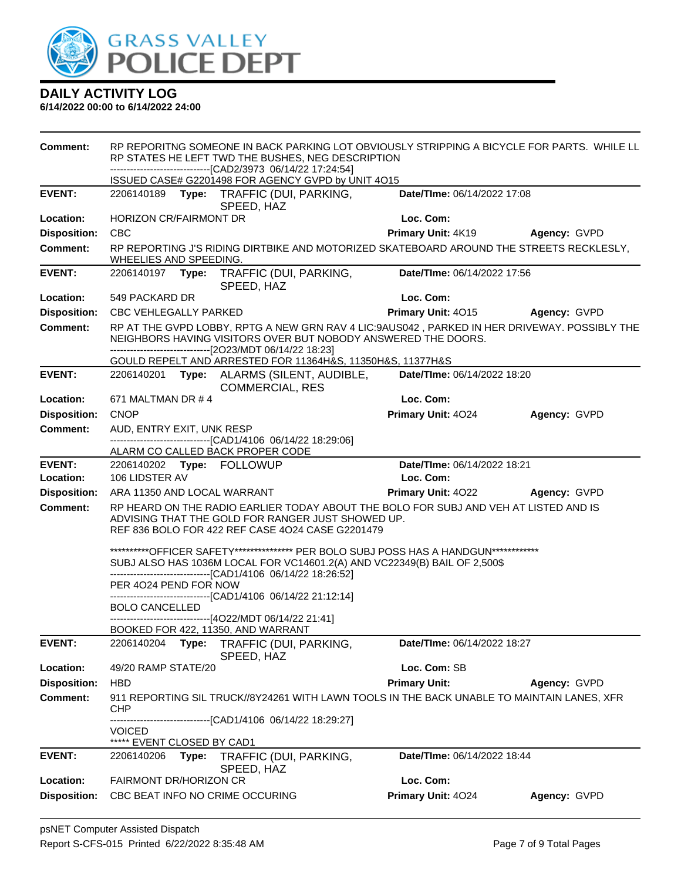

| <b>Comment:</b>     | RP REPORITNG SOMEONE IN BACK PARKING LOT OBVIOUSLY STRIPPING A BICYCLE FOR PARTS. WHILE LL<br>RP STATES HE LEFT TWD THE BUSHES, NEG DESCRIPTION<br>------------------------------[CAD2/3973_06/14/22_17:24:54] |       |                                                                                                                                                                                                                                    |                                 |              |
|---------------------|----------------------------------------------------------------------------------------------------------------------------------------------------------------------------------------------------------------|-------|------------------------------------------------------------------------------------------------------------------------------------------------------------------------------------------------------------------------------------|---------------------------------|--------------|
|                     |                                                                                                                                                                                                                |       | ISSUED CASE# G2201498 FOR AGENCY GVPD by UNIT 4O15                                                                                                                                                                                 |                                 |              |
| <b>EVENT:</b>       |                                                                                                                                                                                                                |       | 2206140189 Type: TRAFFIC (DUI, PARKING,<br>SPEED, HAZ                                                                                                                                                                              | Date/TIme: 06/14/2022 17:08     |              |
| Location:           | <b>HORIZON CR/FAIRMONT DR</b>                                                                                                                                                                                  |       |                                                                                                                                                                                                                                    | Loc. Com:                       |              |
| <b>Disposition:</b> | <b>CBC</b>                                                                                                                                                                                                     |       |                                                                                                                                                                                                                                    | <b>Primary Unit: 4K19</b>       | Agency: GVPD |
| <b>Comment:</b>     | WHEELIES AND SPEEDING                                                                                                                                                                                          |       | RP REPORTING J'S RIDING DIRTBIKE AND MOTORIZED SKATEBOARD AROUND THE STREETS RECKLESLY,                                                                                                                                            |                                 |              |
| <b>EVENT:</b>       | 2206140197                                                                                                                                                                                                     |       | Type: TRAFFIC (DUI, PARKING,<br>SPEED, HAZ                                                                                                                                                                                         | Date/TIme: 06/14/2022 17:56     |              |
| Location:           | 549 PACKARD DR                                                                                                                                                                                                 |       |                                                                                                                                                                                                                                    | Loc. Com:                       |              |
| <b>Disposition:</b> | <b>CBC VEHLEGALLY PARKED</b>                                                                                                                                                                                   |       |                                                                                                                                                                                                                                    | Primary Unit: 4015 Agency: GVPD |              |
| <b>Comment:</b>     |                                                                                                                                                                                                                |       | RP AT THE GVPD LOBBY, RPTG A NEW GRN RAV 4 LIC:9AUS042, PARKED IN HER DRIVEWAY. POSSIBLY THE<br>NEIGHBORS HAVING VISITORS OVER BUT NOBODY ANSWERED THE DOORS.<br>------------------------------[2O23/MDT 06/14/22 18:23]           |                                 |              |
|                     |                                                                                                                                                                                                                |       | GOULD REPELT AND ARRESTED FOR 11364H&S, 11350H&S, 11377H&S                                                                                                                                                                         |                                 |              |
| <b>EVENT:</b>       |                                                                                                                                                                                                                |       | 2206140201 Type: ALARMS (SILENT, AUDIBLE,<br><b>COMMERCIAL, RES</b>                                                                                                                                                                | Date/TIme: 06/14/2022 18:20     |              |
| Location:           | 671 MALTMAN DR # 4                                                                                                                                                                                             |       |                                                                                                                                                                                                                                    | Loc. Com:                       |              |
| <b>Disposition:</b> | <b>CNOP</b>                                                                                                                                                                                                    |       |                                                                                                                                                                                                                                    | Primary Unit: 4024              | Agency: GVPD |
| <b>Comment:</b>     | AUD, ENTRY EXIT, UNK RESP                                                                                                                                                                                      |       |                                                                                                                                                                                                                                    |                                 |              |
|                     |                                                                                                                                                                                                                |       | --------------------------------[CAD1/4106 06/14/22 18:29:06]<br>ALARM CO CALLED BACK PROPER CODE                                                                                                                                  |                                 |              |
| <b>EVENT:</b>       |                                                                                                                                                                                                                |       | 2206140202 Type: FOLLOWUP                                                                                                                                                                                                          | Date/TIme: 06/14/2022 18:21     |              |
| Location:           | 106 LIDSTER AV                                                                                                                                                                                                 |       |                                                                                                                                                                                                                                    | Loc. Com:                       |              |
| <b>Disposition:</b> | ARA 11350 AND LOCAL WARRANT                                                                                                                                                                                    |       |                                                                                                                                                                                                                                    | Primary Unit: 4022 Agency: GVPD |              |
| <b>Comment:</b>     |                                                                                                                                                                                                                |       | RP HEARD ON THE RADIO EARLIER TODAY ABOUT THE BOLO FOR SUBJ AND VEH AT LISTED AND IS<br>ADVISING THAT THE GOLD FOR RANGER JUST SHOWED UP.<br>REF 836 BOLO FOR 422 REF CASE 4024 CASE G2201479                                      |                                 |              |
|                     | PER 4024 PEND FOR NOW                                                                                                                                                                                          |       | **********OFFICER SAFETY**************** PER BOLO SUBJ POSS HAS A HANDGUN************<br>SUBJ ALSO HAS 1036M LOCAL FOR VC14601.2(A) AND VC22349(B) BAIL OF 2,500\$<br>-------------------------------[CAD1/4106 06/14/22 18:26:52] |                                 |              |
|                     |                                                                                                                                                                                                                |       | -------------------------[CAD1/4106 06/14/22 21:12:14]                                                                                                                                                                             |                                 |              |
|                     | <b>BOLO CANCELLED</b>                                                                                                                                                                                          |       | ------------------------------[4O22/MDT 06/14/22 21:41]                                                                                                                                                                            |                                 |              |
| <b>EVENT:</b>       | 2206140204                                                                                                                                                                                                     |       | BOOKED FOR 422, 11350, AND WARRANT                                                                                                                                                                                                 | Date/TIme: 06/14/2022 18:27     |              |
|                     |                                                                                                                                                                                                                | Type: | TRAFFIC (DUI, PARKING,<br>SPEED, HAZ                                                                                                                                                                                               |                                 |              |
| Location:           | 49/20 RAMP STATE/20                                                                                                                                                                                            |       |                                                                                                                                                                                                                                    | Loc. Com: SB                    |              |
| <b>Disposition:</b> | <b>HBD</b>                                                                                                                                                                                                     |       |                                                                                                                                                                                                                                    | <b>Primary Unit:</b>            | Agency: GVPD |
| <b>Comment:</b>     | CHP                                                                                                                                                                                                            |       | 911 REPORTING SIL TRUCK//8Y24261 WITH LAWN TOOLS IN THE BACK UNABLE TO MAINTAIN LANES, XFR                                                                                                                                         |                                 |              |
|                     | VOICED                                                                                                                                                                                                         |       | ------------------------[CAD1/4106_06/14/22_18:29:27]<br>EVENT CLOSED BY CAD1                                                                                                                                                      |                                 |              |
| <b>EVENT:</b>       | 2206140206                                                                                                                                                                                                     | Type: | TRAFFIC (DUI, PARKING,                                                                                                                                                                                                             | Date/TIme: 06/14/2022 18:44     |              |
|                     |                                                                                                                                                                                                                |       | SPEED, HAZ                                                                                                                                                                                                                         |                                 |              |
| Location:           | FAIRMONT DR/HORIZON CR                                                                                                                                                                                         |       |                                                                                                                                                                                                                                    | Loc. Com:                       |              |
| <b>Disposition:</b> |                                                                                                                                                                                                                |       | CBC BEAT INFO NO CRIME OCCURING                                                                                                                                                                                                    | Primary Unit: 4024              | Agency: GVPD |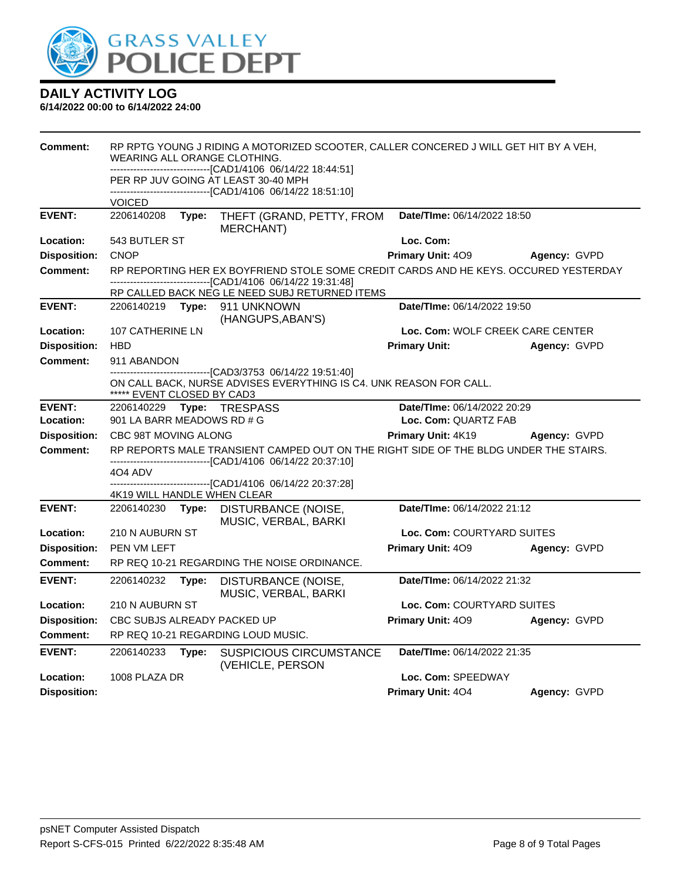

| Comment:            | RP RPTG YOUNG J RIDING A MOTORIZED SCOOTER, CALLER CONCERED J WILL GET HIT BY A VEH,<br>WEARING ALL ORANGE CLOTHING.<br>-----------------------[CAD1/4106_06/14/22 18:44:51] |       |                                                                                                                                                                                                          |                                  |              |
|---------------------|------------------------------------------------------------------------------------------------------------------------------------------------------------------------------|-------|----------------------------------------------------------------------------------------------------------------------------------------------------------------------------------------------------------|----------------------------------|--------------|
|                     |                                                                                                                                                                              |       | PER RP JUV GOING AT LEAST 30-40 MPH<br>-------------------------[CAD1/4106_06/14/22 18:51:10]                                                                                                            |                                  |              |
|                     | <b>VOICED</b>                                                                                                                                                                |       |                                                                                                                                                                                                          |                                  |              |
| <b>EVENT:</b>       | 2206140208                                                                                                                                                                   | Type: | THEFT (GRAND, PETTY, FROM<br><b>MERCHANT)</b>                                                                                                                                                            | Date/TIme: 06/14/2022 18:50      |              |
| Location:           | 543 BUTLER ST                                                                                                                                                                |       |                                                                                                                                                                                                          | Loc. Com:                        |              |
| <b>Disposition:</b> | <b>CNOP</b>                                                                                                                                                                  |       |                                                                                                                                                                                                          | <b>Primary Unit: 409</b>         | Agency: GVPD |
| <b>Comment:</b>     |                                                                                                                                                                              |       | RP REPORTING HER EX BOYFRIEND STOLE SOME CREDIT CARDS AND HE KEYS. OCCURED YESTERDAY<br>---------------------------------[CAD1/4106_06/14/22_19:31:48]<br>RP CALLED BACK NEG LE NEED SUBJ RETURNED ITEMS |                                  |              |
| <b>EVENT:</b>       | 2206140219 Type:                                                                                                                                                             |       | 911 UNKNOWN                                                                                                                                                                                              | Date/TIme: 06/14/2022 19:50      |              |
|                     |                                                                                                                                                                              |       | (HANGUPS, ABAN'S)                                                                                                                                                                                        |                                  |              |
| Location:           | 107 CATHERINE LN                                                                                                                                                             |       |                                                                                                                                                                                                          | Loc. Com: WOLF CREEK CARE CENTER |              |
| <b>Disposition:</b> | <b>HBD</b>                                                                                                                                                                   |       |                                                                                                                                                                                                          | <b>Primary Unit:</b>             | Agency: GVPD |
| <b>Comment:</b>     | 911 ABANDON                                                                                                                                                                  |       |                                                                                                                                                                                                          |                                  |              |
|                     | -------------------------------[CAD3/3753 06/14/22 19:51:40]<br>ON CALL BACK, NURSE ADVISES EVERYTHING IS C4. UNK REASON FOR CALL.<br>***** EVENT CLOSED BY CAD3             |       |                                                                                                                                                                                                          |                                  |              |
| <b>EVENT:</b>       | Date/TIme: 06/14/2022 20:29<br>2206140229    Type: TRESPASS                                                                                                                  |       |                                                                                                                                                                                                          |                                  |              |
| Location:           | 901 LA BARR MEADOWS RD # G<br>Loc. Com: QUARTZ FAB                                                                                                                           |       |                                                                                                                                                                                                          |                                  |              |
| <b>Disposition:</b> | CBC 98T MOVING ALONG                                                                                                                                                         |       |                                                                                                                                                                                                          | Primary Unit: 4K19               | Agency: GVPD |
| Comment:            |                                                                                                                                                                              |       | RP REPORTS MALE TRANSIENT CAMPED OUT ON THE RIGHT SIDE OF THE BLDG UNDER THE STAIRS.                                                                                                                     |                                  |              |
|                     | 4O4 ADV                                                                                                                                                                      |       | -----------------------[CAD1/4106 06/14/22 20:37:10]                                                                                                                                                     |                                  |              |
|                     |                                                                                                                                                                              |       | --------------------[CAD1/4106 06/14/22 20:37:28]                                                                                                                                                        |                                  |              |
|                     | 4K19 WILL HANDLE WHEN CLEAR                                                                                                                                                  |       |                                                                                                                                                                                                          |                                  |              |
| <b>EVENT:</b>       | 2206140230 Type:                                                                                                                                                             |       | DISTURBANCE (NOISE,<br>MUSIC, VERBAL, BARKI                                                                                                                                                              | Date/TIme: 06/14/2022 21:12      |              |
| Location:           | 210 N AUBURN ST                                                                                                                                                              |       |                                                                                                                                                                                                          | Loc. Com: COURTYARD SUITES       |              |
| <b>Disposition:</b> | PEN VM LEFT                                                                                                                                                                  |       |                                                                                                                                                                                                          | Primary Unit: 409                | Agency: GVPD |
| <b>Comment:</b>     |                                                                                                                                                                              |       | RP REQ 10-21 REGARDING THE NOISE ORDINANCE.                                                                                                                                                              |                                  |              |
| <b>EVENT:</b>       | 2206140232                                                                                                                                                                   | Type: | DISTURBANCE (NOISE,<br>MUSIC, VERBAL, BARKI                                                                                                                                                              | Date/TIme: 06/14/2022 21:32      |              |
| Location:           | 210 N AUBURN ST                                                                                                                                                              |       |                                                                                                                                                                                                          | Loc. Com: COURTYARD SUITES       |              |
| <b>Disposition:</b> | CBC SUBJS ALREADY PACKED UP                                                                                                                                                  |       |                                                                                                                                                                                                          | Primary Unit: 409                | Agency: GVPD |
| <b>Comment:</b>     |                                                                                                                                                                              |       | RP REQ 10-21 REGARDING LOUD MUSIC.                                                                                                                                                                       |                                  |              |
| <b>EVENT:</b>       | 2206140233                                                                                                                                                                   | Type: | <b>SUSPICIOUS CIRCUMSTANCE</b><br>(VEHICLE, PERSON                                                                                                                                                       | Date/TIme: 06/14/2022 21:35      |              |
| Location:           | 1008 PLAZA DR                                                                                                                                                                |       |                                                                                                                                                                                                          | Loc. Com: SPEEDWAY               |              |
| <b>Disposition:</b> |                                                                                                                                                                              |       |                                                                                                                                                                                                          | <b>Primary Unit: 404</b>         | Agency: GVPD |